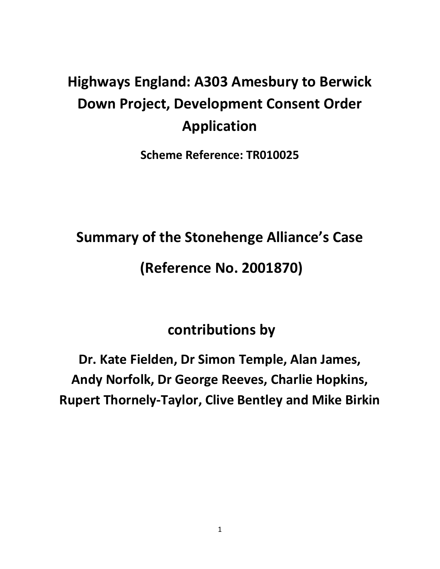# **Highways England: A303 Amesbury to Berwick Down Project, Development Consent Order Application**

**Scheme Reference: TR010025**

**Summary of the Stonehenge Alliance's Case** 

## **(Reference No. 2001870)**

## **contributions by**

**Dr. Kate Fielden, Dr Simon Temple, Alan James, Andy Norfolk, Dr George Reeves, Charlie Hopkins, Rupert Thornely-Taylor, Clive Bentley and Mike Birkin**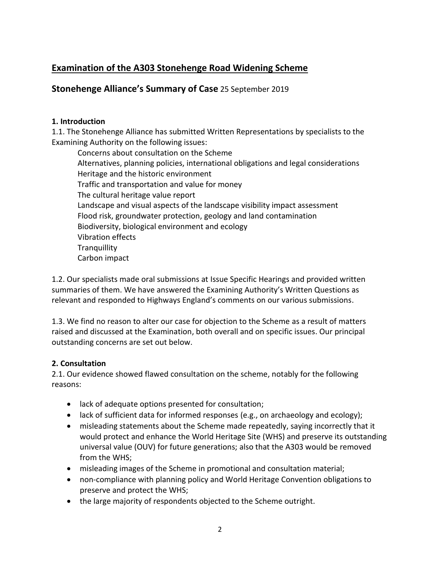### **Examination of the A303 Stonehenge Road Widening Scheme**

#### **Stonehenge Alliance's Summary of Case** 25 September 2019

#### **1. Introduction**

1.1. The Stonehenge Alliance has submitted Written Representations by specialists to the Examining Authority on the following issues:

Concerns about consultation on the Scheme Alternatives, planning policies, international obligations and legal considerations Heritage and the historic environment Traffic and transportation and value for money The cultural heritage value report Landscape and visual aspects of the landscape visibility impact assessment Flood risk, groundwater protection, geology and land contamination Biodiversity, biological environment and ecology Vibration effects **Tranquillity** Carbon impact

1.2. Our specialists made oral submissions at Issue Specific Hearings and provided written summaries of them. We have answered the Examining Authority's Written Questions as relevant and responded to Highways England's comments on our various submissions.

1.3. We find no reason to alter our case for objection to the Scheme as a result of matters raised and discussed at the Examination, both overall and on specific issues. Our principal outstanding concerns are set out below.

#### **2. Consultation**

2.1. Our evidence showed flawed consultation on the scheme, notably for the following reasons:

- lack of adequate options presented for consultation;
- lack of sufficient data for informed responses (e.g., on archaeology and ecology);
- misleading statements about the Scheme made repeatedly, saying incorrectly that it would protect and enhance the World Heritage Site (WHS) and preserve its outstanding universal value (OUV) for future generations; also that the A303 would be removed from the WHS;
- misleading images of the Scheme in promotional and consultation material;
- non-compliance with planning policy and World Heritage Convention obligations to preserve and protect the WHS;
- the large majority of respondents objected to the Scheme outright.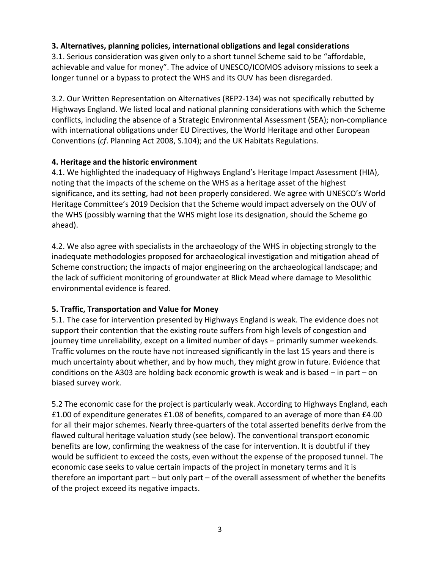#### **3. Alternatives, planning policies, international obligations and legal considerations**

3.1. Serious consideration was given only to a short tunnel Scheme said to be "affordable, achievable and value for money". The advice of UNESCO/ICOMOS advisory missions to seek a longer tunnel or a bypass to protect the WHS and its OUV has been disregarded.

3.2. Our Written Representation on Alternatives (REP2-134) was not specifically rebutted by Highways England. We listed local and national planning considerations with which the Scheme conflicts, including the absence of a Strategic Environmental Assessment (SEA); non-compliance with international obligations under EU Directives, the World Heritage and other European Conventions (*cf*. Planning Act 2008, S.104); and the UK Habitats Regulations.

#### **4. Heritage and the historic environment**

4.1. We highlighted the inadequacy of Highways England's Heritage Impact Assessment (HIA), noting that the impacts of the scheme on the WHS as a heritage asset of the highest significance, and its setting, had not been properly considered. We agree with UNESCO's World Heritage Committee's 2019 Decision that the Scheme would impact adversely on the OUV of the WHS (possibly warning that the WHS might lose its designation, should the Scheme go ahead).

4.2. We also agree with specialists in the archaeology of the WHS in objecting strongly to the inadequate methodologies proposed for archaeological investigation and mitigation ahead of Scheme construction; the impacts of major engineering on the archaeological landscape; and the lack of sufficient monitoring of groundwater at Blick Mead where damage to Mesolithic environmental evidence is feared.

#### **5. Traffic, Transportation and Value for Money**

5.1. The case for intervention presented by Highways England is weak. The evidence does not support their contention that the existing route suffers from high levels of congestion and journey time unreliability, except on a limited number of days – primarily summer weekends. Traffic volumes on the route have not increased significantly in the last 15 years and there is much uncertainty about whether, and by how much, they might grow in future. Evidence that conditions on the A303 are holding back economic growth is weak and is based – in part – on biased survey work.

5.2 The economic case for the project is particularly weak. According to Highways England, each £1.00 of expenditure generates £1.08 of benefits, compared to an average of more than £4.00 for all their major schemes. Nearly three-quarters of the total asserted benefits derive from the flawed cultural heritage valuation study (see below). The conventional transport economic benefits are low, confirming the weakness of the case for intervention. It is doubtful if they would be sufficient to exceed the costs, even without the expense of the proposed tunnel. The economic case seeks to value certain impacts of the project in monetary terms and it is therefore an important part – but only part – of the overall assessment of whether the benefits of the project exceed its negative impacts.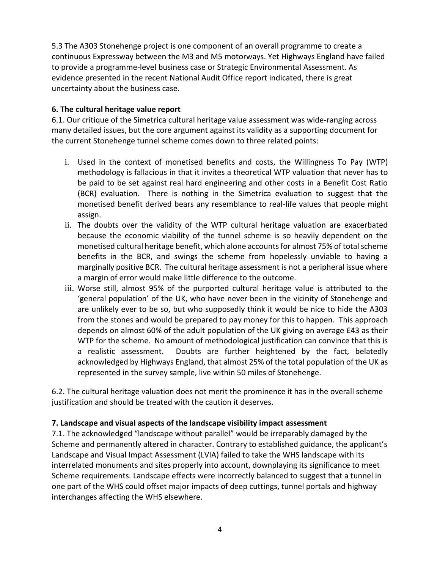5.3 The A303 Stonehenge project is one component of an overall programme to create a continuous Expressway between the M3 and M5 motorways. Yet Highways England have failed to provide a programme-level business case or Strategic Environmental Assessment. As evidence presented in the recent National Audit Office report indicated, there is great uncertainty about the business case.

#### **6. The cultural heritage value report**

6.1. Our critique of the Simetrica cultural heritage value assessment was wide-ranging across many detailed issues, but the core argument against its validity as a supporting document for the current Stonehenge tunnel scheme comes down to three related points:

- i. Used in the context of monetised benefits and costs, the Willingness To Pay (WTP) methodology is fallacious in that it invites a theoretical WTP valuation that never has to be paid to be set against real hard engineering and other costs in a Benefit Cost Ratio (BCR) evaluation. There is nothing in the Simetrica evaluation to suggest that the monetised benefit derived bears any resemblance to real-life values that people might assign.
- ii. The doubts over the validity of the WTP cultural heritage valuation are exacerbated because the economic viability of the tunnel scheme is so heavily dependent on the monetised cultural heritage benefit, which alone accounts for almost 75% of total scheme benefits in the BCR, and swings the scheme from hopelessly unviable to having a marginally positive BCR. The cultural heritage assessment is not a peripheral issue where a margin of error would make little difference to the outcome.
- iii. Worse still, almost 95% of the purported cultural heritage value is attributed to the 'general population' of the UK, who have never been in the vicinity of Stonehenge and are unlikely ever to be so, but who supposedly think it would be nice to hide the A303 from the stones and would be prepared to pay money for this to happen. This approach depends on almost 60% of the adult population of the UK giving on average £43 as their WTP for the scheme. No amount of methodological justification can convince that this is a realistic assessment. Doubts are further heightened by the fact, belatedly acknowledged by Highways England, that almost 25% of the total population of the UK as represented in the survey sample, live within 50 miles of Stonehenge.

6.2. The cultural heritage valuation does not merit the prominence it has in the overall scheme justification and should be treated with the caution it deserves.

#### **7. Landscape and visual aspects of the landscape visibility impact assessment**

7.1. The acknowledged "landscape without parallel" would be irreparably damaged by the Scheme and permanently altered in character. Contrary to established guidance, the applicant's Landscape and Visual Impact Assessment (LVIA) failed to take the WHS landscape with its interrelated monuments and sites properly into account, downplaying its significance to meet Scheme requirements. Landscape effects were incorrectly balanced to suggest that a tunnel in one part of the WHS could offset major impacts of deep cuttings, tunnel portals and highway interchanges affecting the WHS elsewhere.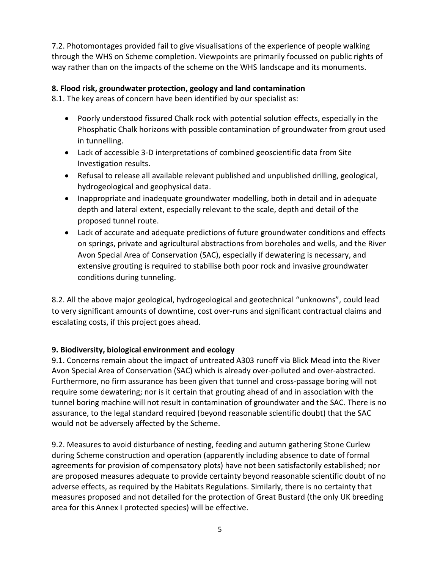7.2. Photomontages provided fail to give visualisations of the experience of people walking through the WHS on Scheme completion. Viewpoints are primarily focussed on public rights of way rather than on the impacts of the scheme on the WHS landscape and its monuments.

#### **8. Flood risk, groundwater protection, geology and land contamination**

8.1. The key areas of concern have been identified by our specialist as:

- Poorly understood fissured Chalk rock with potential solution effects, especially in the Phosphatic Chalk horizons with possible contamination of groundwater from grout used in tunnelling.
- Lack of accessible 3-D interpretations of combined geoscientific data from Site Investigation results.
- Refusal to release all available relevant published and unpublished drilling, geological, hydrogeological and geophysical data.
- Inappropriate and inadequate groundwater modelling, both in detail and in adequate depth and lateral extent, especially relevant to the scale, depth and detail of the proposed tunnel route.
- Lack of accurate and adequate predictions of future groundwater conditions and effects on springs, private and agricultural abstractions from boreholes and wells, and the River Avon Special Area of Conservation (SAC), especially if dewatering is necessary, and extensive grouting is required to stabilise both poor rock and invasive groundwater conditions during tunneling.

8.2. All the above major geological, hydrogeological and geotechnical "unknowns", could lead to very significant amounts of downtime, cost over-runs and significant contractual claims and escalating costs, if this project goes ahead.

#### **9. Biodiversity, biological environment and ecology**

9.1. Concerns remain about the impact of untreated A303 runoff via Blick Mead into the River Avon Special Area of Conservation (SAC) which is already over-polluted and over-abstracted. Furthermore, no firm assurance has been given that tunnel and cross-passage boring will not require some dewatering; nor is it certain that grouting ahead of and in association with the tunnel boring machine will not result in contamination of groundwater and the SAC. There is no assurance, to the legal standard required (beyond reasonable scientific doubt) that the SAC would not be adversely affected by the Scheme.

9.2. Measures to avoid disturbance of nesting, feeding and autumn gathering Stone Curlew during Scheme construction and operation (apparently including absence to date of formal agreements for provision of compensatory plots) have not been satisfactorily established; nor are proposed measures adequate to provide certainty beyond reasonable scientific doubt of no adverse effects, as required by the Habitats Regulations. Similarly, there is no certainty that measures proposed and not detailed for the protection of Great Bustard (the only UK breeding area for this Annex I protected species) will be effective.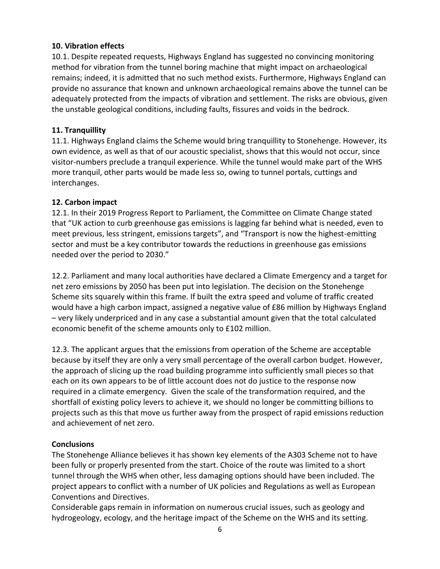#### **10. Vibration effects**

10.1. Despite repeated requests, Highways England has suggested no convincing monitoring method for vibration from the tunnel boring machine that might impact on archaeological remains; indeed, it is admitted that no such method exists. Furthermore, Highways England can provide no assurance that known and unknown archaeological remains above the tunnel can be adequately protected from the impacts of vibration and settlement. The risks are obvious, given the unstable geological conditions, including faults, fissures and voids in the bedrock.

#### **11. Tranquillity**

11.1. Highways England claims the Scheme would bring tranquillity to Stonehenge. However, its own evidence, as well as that of our acoustic specialist, shows that this would not occur, since visitor-numbers preclude a tranquil experience. While the tunnel would make part of the WHS more tranquil, other parts would be made less so, owing to tunnel portals, cuttings and interchanges.

#### **12. Carbon impact**

12.1. In their 2019 Progress Report to Parliament, the Committee on Climate Change stated that "UK action to curb greenhouse gas emissions is lagging far behind what is needed, even to meet previous, less stringent, emissions targets", and "Transport is now the highest-emitting sector and must be a key contributor towards the reductions in greenhouse gas emissions needed over the period to 2030."

12.2. Parliament and many local authorities have declared a Climate Emergency and a target for net zero emissions by 2050 has been put into legislation. The decision on the Stonehenge Scheme sits squarely within this frame. If built the extra speed and volume of traffic created would have a high carbon impact, assigned a negative value of £86 million by Highways England – very likely underpriced and in any case a substantial amount given that the total calculated economic benefit of the scheme amounts only to £102 million.

12.3. The applicant argues that the emissions from operation of the Scheme are acceptable because by itself they are only a very small percentage of the overall carbon budget. However, the approach of slicing up the road building programme into sufficiently small pieces so that each on its own appears to be of little account does not do justice to the response now required in a climate emergency. Given the scale of the transformation required, and the shortfall of existing policy levers to achieve it, we should no longer be committing billions to projects such as this that move us further away from the prospect of rapid emissions reduction and achievement of net zero.

#### **Conclusions**

The Stonehenge Alliance believes it has shown key elements of the A303 Scheme not to have been fully or properly presented from the start. Choice of the route was limited to a short tunnel through the WHS when other, less damaging options should have been included. The project appears to conflict with a number of UK policies and Regulations as well as European Conventions and Directives.

Considerable gaps remain in information on numerous crucial issues, such as geology and hydrogeology, ecology, and the heritage impact of the Scheme on the WHS and its setting.